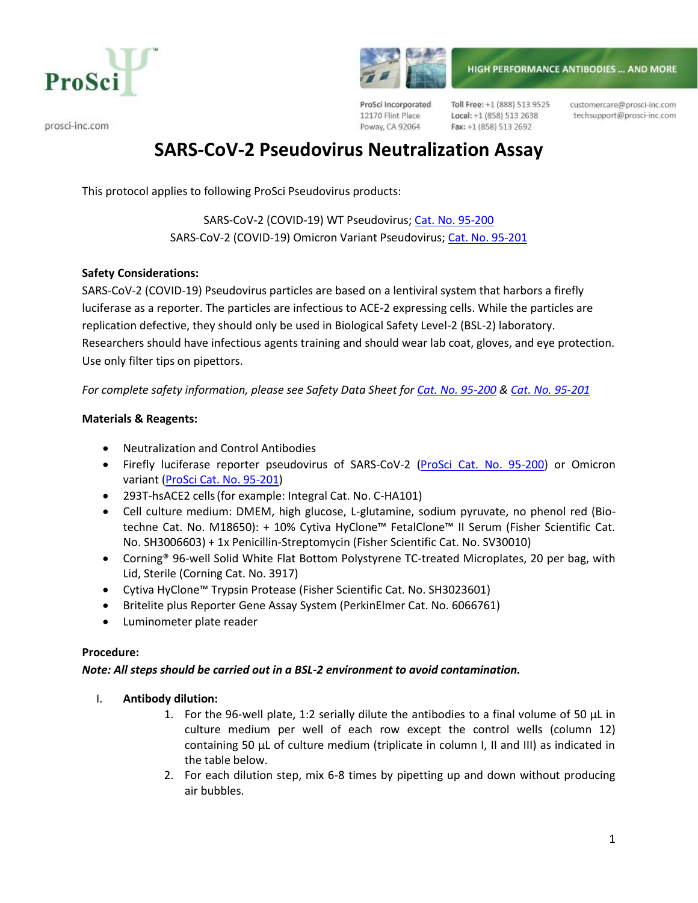



prosci-inc.com

ProSci Incorporated 12170 Flint Place Poway, CA 92064

Toll Free: +1 (888) 513 9525 Local: +1 (858) 513 2638 Fax: +1 (858) 513 2692

customercare@prosci-inc.com techsupport@prosci-inc.com

# **SARS-CoV-2 Pseudovirus Neutralization Assay**

This protocol applies to following ProSci Pseudovirus products:

SARS-CoV-2 (COVID-19) WT Pseudovirus; [Cat. No. 95-200](https://www.prosci-inc.com/product/sars-cov-2-wt-pseudovirus-95-200/) SARS-CoV-2 (COVID-19) Omicron Variant Pseudovirus; [Cat. No. 95-201](https://www.prosci-inc.com/product/sars-cov-2-omicron-ba-1-variant-pseudovirus-95-201/)

## **Safety Considerations:**

SARS-CoV-2 (COVID-19) Pseudovirus particles are based on a lentiviral system that harbors a firefly luciferase as a reporter. The particles are infectious to ACE-2 expressing cells. While the particles are replication defective, they should only be used in Biological Safety Level-2 (BSL-2) laboratory. Researchers should have infectious agents training and should wear lab coat, gloves, and eye protection. Use only filter tips on pipettors.

*For complete safety information, please see Safety Data Sheet for Cat. No. [95-200](https://www.prosci-inc.com/wp-content/uploads/2022/04/2022-04-04_95-200-SDS.pdf) & Cat. No. [95-201](https://www.prosci-inc.com/wp-content/uploads/2022/04/2022-04-04_95-201-SDS.pdf)*

## **Materials & Reagents:**

- Neutralization and Control Antibodies
- Firefly luciferase reporter pseudovirus of SARS-CoV-2 [\(ProSci Cat. No. 95-200\)](https://www.prosci-inc.com/product/sars-cov-2-wt-pseudovirus-95-200/) or Omicron variant [\(ProSci Cat. No. 95-201\)](https://www.prosci-inc.com/product/sars-cov-2-omicron-ba-1-variant-pseudovirus-95-201/)
- 293T-hsACE2 cells(for example: Integral Cat. No. C-HA101)
- Cell culture medium: DMEM, high glucose, L-glutamine, sodium pyruvate, no phenol red (Biotechne Cat. No. M18650): + 10% Cytiva HyClone™ FetalClone™ II Serum (Fisher Scientific Cat. No. SH3006603) + 1x Penicillin-Streptomycin (Fisher Scientific Cat. No. SV30010)
- Corning® 96-well Solid White Flat Bottom Polystyrene TC-treated Microplates, 20 per bag, with Lid, Sterile (Corning Cat. No. 3917)
- Cytiva HyClone™ Trypsin Protease (Fisher Scientific Cat. No. SH3023601)
- Britelite plus Reporter Gene Assay System (PerkinElmer Cat. No. 6066761)
- Luminometer plate reader

#### **Procedure:**

#### *Note: All steps should be carried out in a BSL-2 environment to avoid contamination.*

#### I. **Antibody dilution:**

- 1. For the 96-well plate, 1:2 serially dilute the antibodies to a final volume of 50 µL in culture medium per well of each row except the control wells (column 12) containing 50 µL of culture medium (triplicate in column I, II and III) as indicated in the table below.
- 2. For each dilution step, mix 6-8 times by pipetting up and down without producing air bubbles.